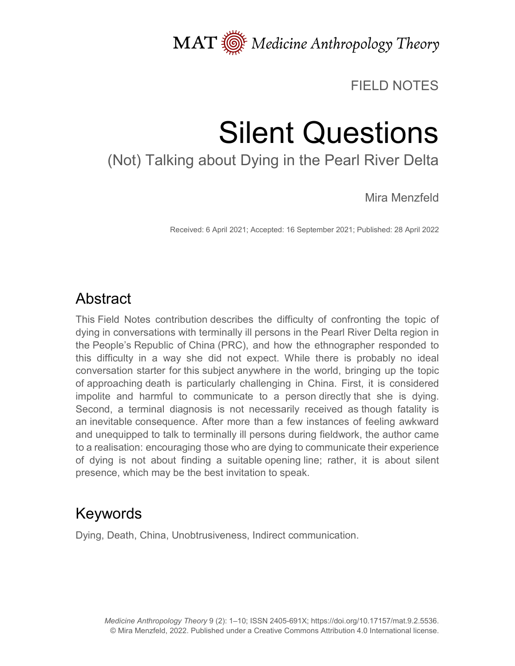MAT  $\overline{\text{M}}$  Medicine Anthropology Theory

#### FIELD NOTES

# Silent Questions

## (Not) Talking about Dying in the Pearl River Delta

Mira Menzfeld

Received: 6 April 2021; Accepted: 16 September 2021; Published: 28 April 2022

#### Abstract

This Field Notes contribution describes the difficulty of confronting the topic of dying in conversations with terminally ill persons in the Pearl River Delta region in the People's Republic of China (PRC), and how the ethnographer responded to this difficulty in a way she did not expect. While there is probably no ideal conversation starter for this subject anywhere in the world, bringing up the topic of approaching death is particularly challenging in China. First, it is considered impolite and harmful to communicate to a person directly that she is dying. Second, a terminal diagnosis is not necessarily received as though fatality is an inevitable consequence. After more than a few instances of feeling awkward and unequipped to talk to terminally ill persons during fieldwork, the author came to a realisation: encouraging those who are dying to communicate their experience of dying is not about finding a suitable opening line; rather, it is about silent presence, which may be the best invitation to speak.

### Keywords

Dying, Death, China, Unobtrusiveness, Indirect communication.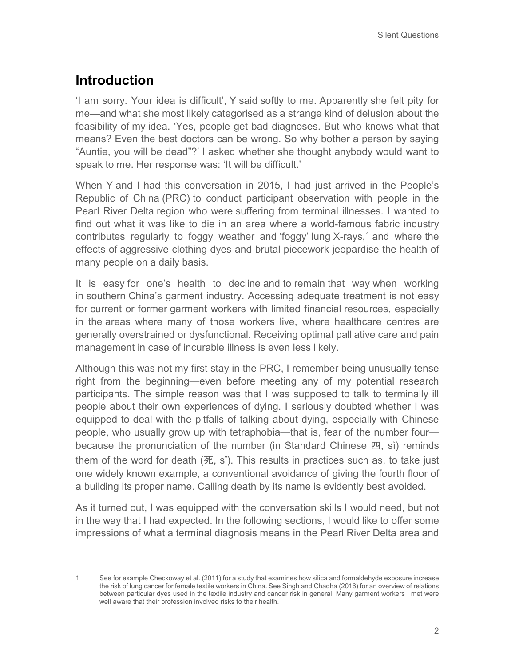#### **Introduction**

'I am sorry. Your idea is difficult', Y said softly to me. Apparently she felt pity for me—and what she most likely categorised as a strange kind of delusion about the feasibility of my idea. 'Yes, people get bad diagnoses. But who knows what that means? Even the best doctors can be wrong. So why bother a person by saying "Auntie, you will be dead"?' I asked whether she thought anybody would want to speak to me. Her response was: 'It will be difficult.'

When Y and I had this conversation in 2015, I had just arrived in the People's Republic of China (PRC) to conduct participant observation with people in the Pearl River Delta region who were suffering from terminal illnesses. I wanted to find out what it was like to die in an area where a world-famous fabric industry contributes regularly to foggy weather and 'foggy' lung  $X$ -rays,<sup>[1](#page-1-0)</sup> and where the effects of aggressive clothing dyes and brutal piecework jeopardise the health of many people on a daily basis.

It is easy for one's health to decline and to remain that way when working in southern China's garment industry. Accessing adequate treatment is not easy for current or former garment workers with limited financial resources, especially in the areas where many of those workers live, where healthcare centres are generally overstrained or dysfunctional. Receiving optimal palliative care and pain management in case of incurable illness is even less likely.

Although this was not my first stay in the PRC, I remember being unusually tense right from the beginning—even before meeting any of my potential research participants. The simple reason was that I was supposed to talk to terminally ill people about their own experiences of dying. I seriously doubted whether I was equipped to deal with the pitfalls of talking about dying, especially with Chinese people, who usually grow up with tetraphobia—that is, fear of the number four because the pronunciation of the number (in Standard Chinese 四, sì) reminds them of the word for death  $(E, \sin)$ . This results in practices such as, to take just one widely known example, a conventional avoidance of giving the fourth floor of a building its proper name. Calling death by its name is evidently best avoided.

As it turned out, I was equipped with the conversation skills I would need, but not in the way that I had expected. In the following sections, I would like to offer some impressions of what a terminal diagnosis means in the Pearl River Delta area and

<span id="page-1-0"></span><sup>1</sup> See for example Checkoway et al. (2011) for a study that examines how silica and formaldehyde exposure increase the risk of lung cancer for female textile workers in China. See Singh and Chadha (2016) for an overview of relations between particular dyes used in the textile industry and cancer risk in general. Many garment workers I met were well aware that their profession involved risks to their health.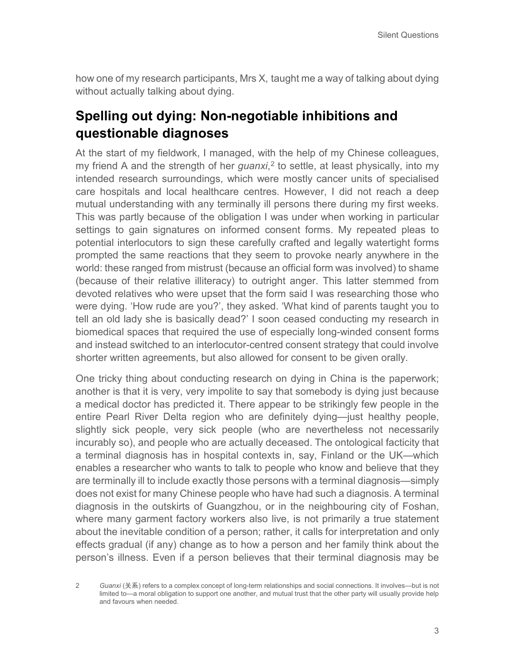how one of my research participants, Mrs X, taught me a way of talking about dying without actually talking about dying.

#### **Spelling out dying: Non-negotiable inhibitions and questionable diagnoses**

At the start of my fieldwork, I managed, with the help of my Chinese colleagues, my friend A and the strength of her *guanxi*, [2](#page-2-0) to settle, at least physically, into my intended research surroundings, which were mostly cancer units of specialised care hospitals and local healthcare centres. However, I did not reach a deep mutual understanding with any terminally ill persons there during my first weeks. This was partly because of the obligation I was under when working in particular settings to gain signatures on informed consent forms. My repeated pleas to potential interlocutors to sign these carefully crafted and legally watertight forms prompted the same reactions that they seem to provoke nearly anywhere in the world: these ranged from mistrust (because an official form was involved) to shame (because of their relative illiteracy) to outright anger. This latter stemmed from devoted relatives who were upset that the form said I was researching those who were dying. 'How rude are you?', they asked. 'What kind of parents taught you to tell an old lady she is basically dead?' I soon ceased conducting my research in biomedical spaces that required the use of especially long-winded consent forms and instead switched to an interlocutor-centred consent strategy that could involve shorter written agreements, but also allowed for consent to be given orally.

One tricky thing about conducting research on dying in China is the paperwork; another is that it is very, very impolite to say that somebody is dying just because a medical doctor has predicted it. There appear to be strikingly few people in the entire Pearl River Delta region who are definitely dying—just healthy people, slightly sick people, very sick people (who are nevertheless not necessarily incurably so), and people who are actually deceased. The ontological facticity that a terminal diagnosis has in hospital contexts in, say, Finland or the UK—which enables a researcher who wants to talk to people who know and believe that they are terminally ill to include exactly those persons with a terminal diagnosis—simply does not exist for many Chinese people who have had such a diagnosis. A terminal diagnosis in the outskirts of Guangzhou, or in the neighbouring city of Foshan, where many garment factory workers also live, is not primarily a true statement about the inevitable condition of a person; rather, it calls for interpretation and only effects gradual (if any) change as to how a person and her family think about the person's illness. Even if a person believes that their terminal diagnosis may be

<span id="page-2-0"></span><sup>2</sup> *Guanxi* (关系) refers to a complex concept of long-term relationships and social connections. It involves—but is not limited to—a moral obligation to support one another, and mutual trust that the other party will usually provide help and favours when needed.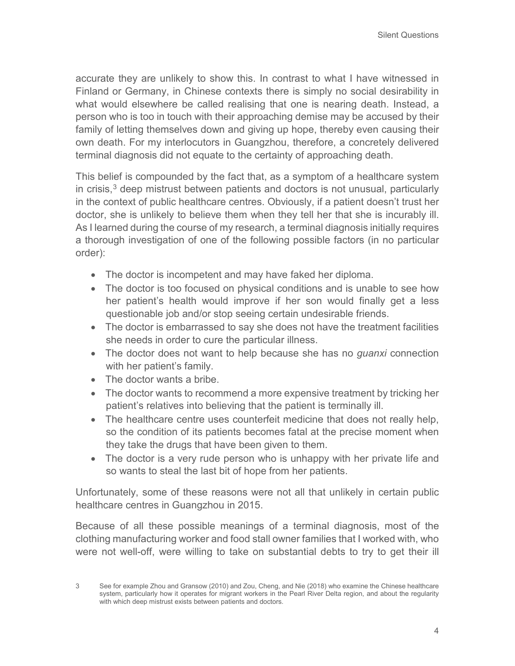accurate they are unlikely to show this. In contrast to what I have witnessed in Finland or Germany, in Chinese contexts there is simply no social desirability in what would elsewhere be called realising that one is nearing death. Instead, a person who is too in touch with their approaching demise may be accused by their family of letting themselves down and giving up hope, thereby even causing their own death. For my interlocutors in Guangzhou, therefore, a concretely delivered terminal diagnosis did not equate to the certainty of approaching death.

This belief is compounded by the fact that, as a symptom of a healthcare system in crisis, $3$  deep mistrust between patients and doctors is not unusual, particularly in the context of public healthcare centres. Obviously, if a patient doesn't trust her doctor, she is unlikely to believe them when they tell her that she is incurably ill. As I learned during the course of my research, a terminal diagnosis initially requires a thorough investigation of one of the following possible factors (in no particular order):

- The doctor is incompetent and may have faked her diploma.
- The doctor is too focused on physical conditions and is unable to see how her patient's health would improve if her son would finally get a less questionable job and/or stop seeing certain undesirable friends.
- The doctor is embarrassed to say she does not have the treatment facilities she needs in order to cure the particular illness.
- The doctor does not want to help because she has no *guanxi* connection with her patient's family.
- The doctor wants a bribe.
- The doctor wants to recommend a more expensive treatment by tricking her patient's relatives into believing that the patient is terminally ill.
- The healthcare centre uses counterfeit medicine that does not really help, so the condition of its patients becomes fatal at the precise moment when they take the drugs that have been given to them.
- The doctor is a very rude person who is unhappy with her private life and so wants to steal the last bit of hope from her patients.

Unfortunately, some of these reasons were not all that unlikely in certain public healthcare centres in Guangzhou in 2015.

Because of all these possible meanings of a terminal diagnosis, most of the clothing manufacturing worker and food stall owner families that I worked with, who were not well-off, were willing to take on substantial debts to try to get their ill

<span id="page-3-0"></span><sup>3</sup> See for example Zhou and Gransow (2010) and Zou, Cheng, and Nie (2018) who examine the Chinese healthcare system, particularly how it operates for migrant workers in the Pearl River Delta region, and about the regularity with which deep mistrust exists between patients and doctors.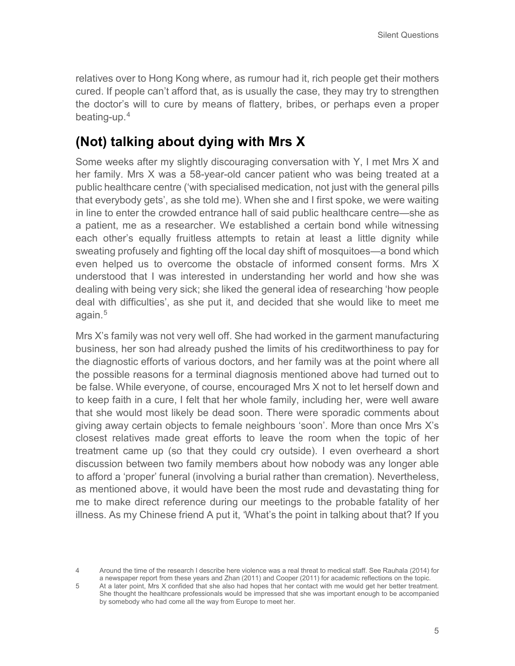relatives over to Hong Kong where, as rumour had it, rich people get their mothers cured. If people can't afford that, as is usually the case, they may try to strengthen the doctor's will to cure by means of flattery, bribes, or perhaps even a proper beating-up.[4](#page-4-0)

#### **(Not) talking about dying with Mrs X**

Some weeks after my slightly discouraging conversation with Y, I met Mrs X and her family. Mrs X was a 58-year-old cancer patient who was being treated at a public healthcare centre ('with specialised medication, not just with the general pills that everybody gets', as she told me). When she and I first spoke, we were waiting in line to enter the crowded entrance hall of said public healthcare centre—she as a patient, me as a researcher. We established a certain bond while witnessing each other's equally fruitless attempts to retain at least a little dignity while sweating profusely and fighting off the local day shift of mosquitoes—a bond which even helped us to overcome the obstacle of informed consent forms. Mrs X understood that I was interested in understanding her world and how she was dealing with being very sick; she liked the general idea of researching 'how people deal with difficulties', as she put it, and decided that she would like to meet me again.<sup>[5](#page-4-1)</sup>

Mrs X's family was not very well off. She had worked in the garment manufacturing business, her son had already pushed the limits of his creditworthiness to pay for the diagnostic efforts of various doctors, and her family was at the point where all the possible reasons for a terminal diagnosis mentioned above had turned out to be false. While everyone, of course, encouraged Mrs X not to let herself down and to keep faith in a cure, I felt that her whole family, including her, were well aware that she would most likely be dead soon. There were sporadic comments about giving away certain objects to female neighbours 'soon'. More than once Mrs X's closest relatives made great efforts to leave the room when the topic of her treatment came up (so that they could cry outside). I even overheard a short discussion between two family members about how nobody was any longer able to afford a 'proper' funeral (involving a burial rather than cremation). Nevertheless, as mentioned above, it would have been the most rude and devastating thing for me to make direct reference during our meetings to the probable fatality of her illness. As my Chinese friend A put it, 'What's the point in talking about that? If you

<span id="page-4-0"></span><sup>4</sup> Around the time of the research I describe here violence was a real threat to medical staff. See Rauhala (2014) for a newspaper report from these years and Zhan (2011) and Cooper (2011) for academic reflections on the topic.

<span id="page-4-1"></span><sup>5</sup> At a later point, Mrs X confided that she also had hopes that her contact with me would get her better treatment. She thought the healthcare professionals would be impressed that she was important enough to be accompanied by somebody who had come all the way from Europe to meet her.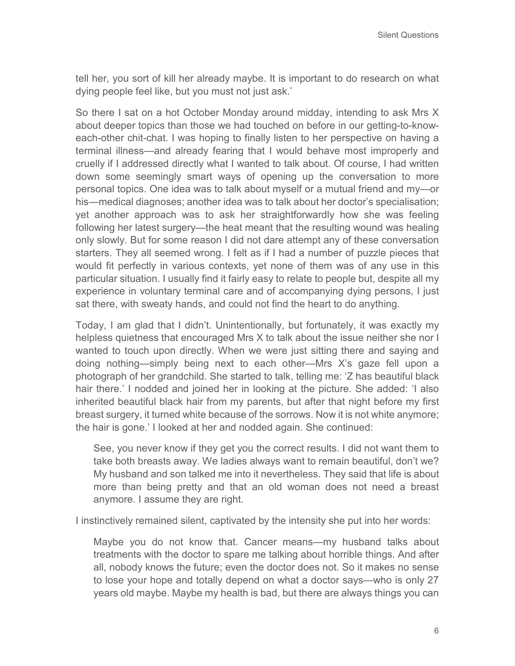tell her, you sort of kill her already maybe. It is important to do research on what dying people feel like, but you must not just ask.'

So there I sat on a hot October Monday around midday, intending to ask Mrs X about deeper topics than those we had touched on before in our getting-to-knoweach-other chit-chat. I was hoping to finally listen to her perspective on having a terminal illness—and already fearing that I would behave most improperly and cruelly if I addressed directly what I wanted to talk about. Of course, I had written down some seemingly smart ways of opening up the conversation to more personal topics. One idea was to talk about myself or a mutual friend and my—or his—medical diagnoses; another idea was to talk about her doctor's specialisation; yet another approach was to ask her straightforwardly how she was feeling following her latest surgery—the heat meant that the resulting wound was healing only slowly. But for some reason I did not dare attempt any of these conversation starters. They all seemed wrong. I felt as if I had a number of puzzle pieces that would fit perfectly in various contexts, yet none of them was of any use in this particular situation. I usually find it fairly easy to relate to people but, despite all my experience in voluntary terminal care and of accompanying dying persons, I just sat there, with sweaty hands, and could not find the heart to do anything.

Today, I am glad that I didn't. Unintentionally, but fortunately, it was exactly my helpless quietness that encouraged Mrs X to talk about the issue neither she nor I wanted to touch upon directly. When we were just sitting there and saying and doing nothing—simply being next to each other—Mrs X's gaze fell upon a photograph of her grandchild. She started to talk, telling me: 'Z has beautiful black hair there.' I nodded and joined her in looking at the picture. She added: 'I also inherited beautiful black hair from my parents, but after that night before my first breast surgery, it turned white because of the sorrows. Now it is not white anymore; the hair is gone.' I looked at her and nodded again. She continued:

See, you never know if they get you the correct results. I did not want them to take both breasts away. We ladies always want to remain beautiful, don't we? My husband and son talked me into it nevertheless. They said that life is about more than being pretty and that an old woman does not need a breast anymore. I assume they are right.

I instinctively remained silent, captivated by the intensity she put into her words:

Maybe you do not know that. Cancer means—my husband talks about treatments with the doctor to spare me talking about horrible things. And after all, nobody knows the future; even the doctor does not. So it makes no sense to lose your hope and totally depend on what a doctor says—who is only 27 years old maybe. Maybe my health is bad, but there are always things you can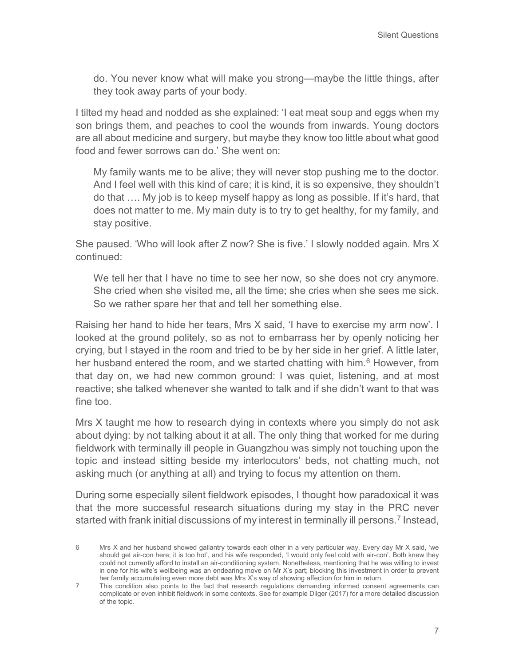do. You never know what will make you strong—maybe the little things, after they took away parts of your body.

I tilted my head and nodded as she explained: 'I eat meat soup and eggs when my son brings them, and peaches to cool the wounds from inwards. Young doctors are all about medicine and surgery, but maybe they know too little about what good food and fewer sorrows can do.' She went on:

My family wants me to be alive; they will never stop pushing me to the doctor. And I feel well with this kind of care; it is kind, it is so expensive, they shouldn't do that …. My job is to keep myself happy as long as possible. If it's hard, that does not matter to me. My main duty is to try to get healthy, for my family, and stay positive.

She paused. 'Who will look after Z now? She is five.' I slowly nodded again. Mrs X continued:

We tell her that I have no time to see her now, so she does not cry anymore. She cried when she visited me, all the time; she cries when she sees me sick. So we rather spare her that and tell her something else.

Raising her hand to hide her tears, Mrs X said, 'I have to exercise my arm now'. I looked at the ground politely, so as not to embarrass her by openly noticing her crying, but I stayed in the room and tried to be by her side in her grief. A little later, her husband entered the room, and we started chatting with him. $6$  However, from that day on, we had new common ground: I was quiet, listening, and at most reactive; she talked whenever she wanted to talk and if she didn't want to that was fine too.

Mrs X taught me how to research dying in contexts where you simply do not ask about dying: by not talking about it at all. The only thing that worked for me during fieldwork with terminally ill people in Guangzhou was simply not touching upon the topic and instead sitting beside my interlocutors' beds, not chatting much, not asking much (or anything at all) and trying to focus my attention on them.

During some especially silent fieldwork episodes, I thought how paradoxical it was that the more successful research situations during my stay in the PRC never started with frank initial discussions of my interest in terminally ill persons.<sup>[7](#page-6-1)</sup> Instead,

<span id="page-6-0"></span><sup>6</sup> Mrs X and her husband showed gallantry towards each other in a very particular way. Every day Mr X said, 'we should get air-con here; it is too hot', and his wife responded, 'I would only feel cold with air-con'. Both knew they could not currently afford to install an air-conditioning system. Nonetheless, mentioning that he was willing to invest in one for his wife's wellbeing was an endearing move on Mr X's part; blocking this investment in order to prevent her family accumulating even more debt was Mrs X's way of showing affection for him in return.

<span id="page-6-1"></span><sup>7</sup> This condition also points to the fact that research regulations demanding informed consent agreements can complicate or even inhibit fieldwork in some contexts. See for example Dilger (2017) for a more detailed discussion of the topic.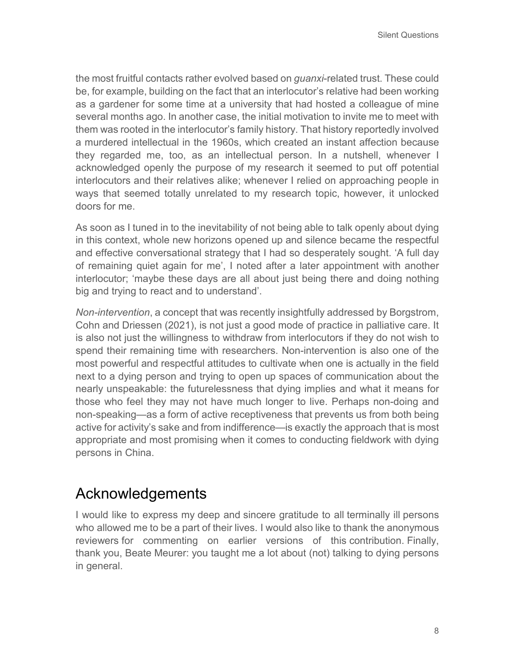the most fruitful contacts rather evolved based on *guanxi*-related trust. These could be, for example, building on the fact that an interlocutor's relative had been working as a gardener for some time at a university that had hosted a colleague of mine several months ago. In another case, the initial motivation to invite me to meet with them was rooted in the interlocutor's family history. That history reportedly involved a murdered intellectual in the 1960s, which created an instant affection because they regarded me, too, as an intellectual person. In a nutshell, whenever I acknowledged openly the purpose of my research it seemed to put off potential interlocutors and their relatives alike; whenever I relied on approaching people in ways that seemed totally unrelated to my research topic, however, it unlocked doors for me.

As soon as I tuned in to the inevitability of not being able to talk openly about dying in this context, whole new horizons opened up and silence became the respectful and effective conversational strategy that I had so desperately sought. 'A full day of remaining quiet again for me', I noted after a later appointment with another interlocutor; 'maybe these days are all about just being there and doing nothing big and trying to react and to understand'.

*Non-intervention*, a concept that was recently insightfully addressed by Borgstrom, Cohn and Driessen (2021), is not just a good mode of practice in palliative care. It is also not just the willingness to withdraw from interlocutors if they do not wish to spend their remaining time with researchers. Non-intervention is also one of the most powerful and respectful attitudes to cultivate when one is actually in the field next to a dying person and trying to open up spaces of communication about the nearly unspeakable: the futurelessness that dying implies and what it means for those who feel they may not have much longer to live. Perhaps non-doing and non-speaking—as a form of active receptiveness that prevents us from both being active for activity's sake and from indifference—is exactly the approach that is most appropriate and most promising when it comes to conducting fieldwork with dying persons in China.

#### Acknowledgements

I would like to express my deep and sincere gratitude to all terminally ill persons who allowed me to be a part of their lives. I would also like to thank the anonymous reviewers for commenting on earlier versions of this contribution. Finally, thank you, Beate Meurer: you taught me a lot about (not) talking to dying persons in general.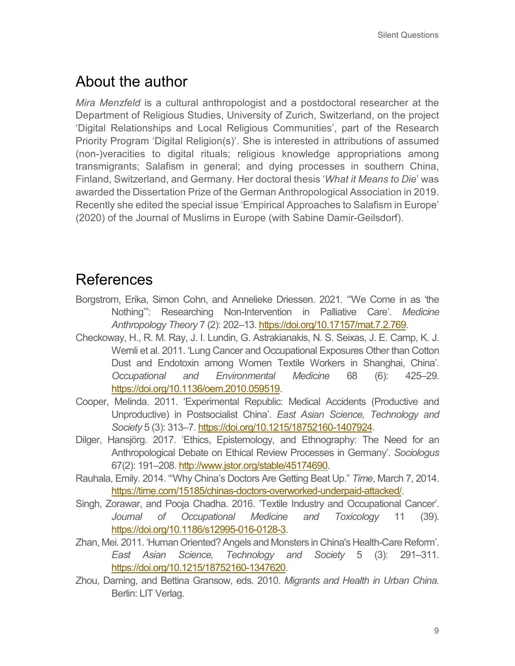## About the author

*Mira Menzfeld* is a cultural anthropologist and a postdoctoral researcher at the Department of Religious Studies, University of Zurich, Switzerland, on the project 'Digital Relationships and Local Religious Communities', part of the Research Priority Program 'Digital Religion(s)'. She is interested in attributions of assumed (non-)veracities to digital rituals; religious knowledge appropriations among transmigrants; Salafism in general; and dying processes in southern China, Finland, Switzerland, and Germany. Her doctoral thesis '*What it Means to Die*' was awarded the Dissertation Prize of the German Anthropological Association in 2019. Recently she edited the special issue 'Empirical Approaches to Salafism in Europe' (2020) of the Journal of Muslims in Europe (with Sabine Damir-Geilsdorf).

#### References

- Borgstrom, Erika, Simon Cohn, and Annelieke Driessen. 2021. '"We Come in as 'the Nothing'": Researching Non-Intervention in Palliative Care'. *Medicine Anthropology Theory* 7 (2): 202–13. [https://doi.org/10.17157/mat.7.2.769.](https://doi.org/10.17157/mat.7.2.769)
- Checkoway, H., R. M. Ray, J. I. Lundin, G. Astrakianakis, N. S. Seixas, J. E. Camp, K. J. Wernli et al. 2011. 'Lung Cancer and Occupational Exposures Other than Cotton Dust and Endotoxin among Women Textile Workers in Shanghai, China'. *Occupational and Environmental Medicine* 68 (6): 425–29. [https://doi.org/10.1136/oem.2010.059519.](https://doi.org/%2010.1136/oem.2010.059519)
- Cooper, Melinda. 2011. 'Experimental Republic: Medical Accidents (Productive and Unproductive) in Postsocialist China'. *East Asian Science, Technology and Society* 5 (3): 313–7[. https://doi.org/10.1215/18752160-1407924.](https://doi.org/10.1215/18752160-1407924)
- Dilger, Hansjörg. 2017. 'Ethics, Epistemology, and Ethnography: The Need for an Anthropological Debate on Ethical Review Processes in Germany'. *Sociologus*  67(2): 191–208[. http://www.jstor.org/stable/45174690.](http://www.jstor.org/stable/45174690)
- Rauhala, Emily. 2014. "'Why China's Doctors Are Getting Beat Up." *Time*, March 7, 2014. [https://time.com/15185/chinas-doctors-overworked-underpaid-attacked/.](https://time.com/15185/chinas-doctors-overworked-underpaid-attacked/)
- Singh, Zorawar, and Pooja Chadha. 2016. 'Textile Industry and Occupational Cancer'. *Journal of Occupational Medicine and Toxicology* 11 (39). [https://doi.org/10.1186/s12995-016-0128-3.](https://doi.org/10.1186/s12995-016-0128-3)
- Zhan, Mei. 2011. 'Human Oriented? Angels and Monsters in China's Health-Care Reform'. *East Asian Science, Technology and Society* 5 (3): 291–311. [https://doi.org/10.1215/18752160-1347620.](https://doi.org/10.1215/18752160-1347620)
- Zhou, Daming, and Bettina Gransow, eds. 2010. *Migrants and Health in Urban China.*  Berlin: LIT Verlag.